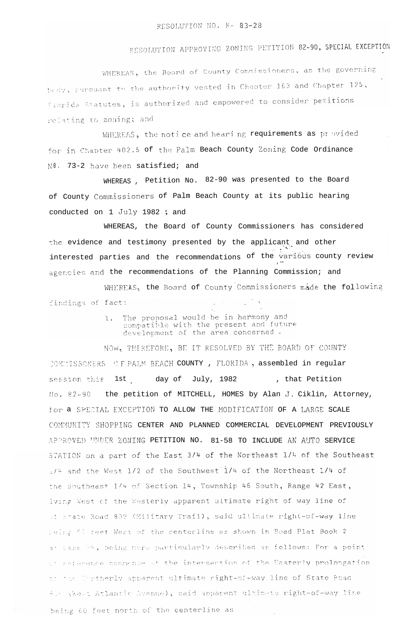## RESOLUTION APPROVING ZONING PETITION 82-90, SPECIAL EXCEPTION

WHEREAS, the Board of County Commissioners, as the governing bedy, pursuant to the authority vested in Chapter 163 and Chapter 125, Elerida Statutes, is authorized and empowered to consider petitions relating to zoning; and

WHEREAS, the notice and hearing requirements as provided for in Chapter 402.5 of the Palm Beach County Zoning Code Ordinance NO. 73-2 have been satisfied; and

WHEREAS, Petition No. 82-90 was presented to the Board of County Commissioners of Palm Beach County at its public hearing conducted on 1 July 1982 ; and

WHEREAS, the Board of County Commissioners has considered the evidence and testimony presented by the applicant and other interested parties and the recommendations of the various county review agencies and the recommendations of the Planning Commission; and

WHEREAS, the Board of County Commissioners made the following findings of fact:

> The proposal would be in harmony and  $l.$ compatible with the present and future development of the area concerned.

NOW, THEREFORE, BE IT RESOLVED BY THE BOARD OF COUNTY COMMISSONERS OF PALM BEACH COUNTY, FLORIDA, assembled in regular session this 1st day of July, 1982 , that Petition No. 82-90 the petition of MITCHELL, HOMES by Alan J. Ciklin, Attorney, for a SPECIAL EXCEPTION TO ALLOW THE MODIFICATION OF A LARGE SCALE COMMUNITY SHOPPING CENTER AND PLANNED COMMERCIAL DEVELOPMENT PREVIOUSLY APPROVED UNDER ZONING PETITION NO. 81-58 TO INCLUDE AN AUTO SERVICE STATION on a part of the East 3/4 of the Northeast 1/4 of the Southeast 1/4 and the West 1/2 of the Southwest 1/4 of the Northeast 1/4 of the Southeast 1/4 of Section 14, Township 46 South, Range 42 East, lving West of the Westerly apparent ultimate right of way line of of state Road 809 (Military Trail), said ultimate right-of-way line Leing 60 reet West of the centerline as shown in Road Plat Book 2 at page 26, being more particularly described as follows: For a point of reference commence at the intersection of the Easterly prolongation of the Unrtherly apparent ultimate right-of-way line of State Road Also these Atlantic Avenue), said apparent ultimate right-of-way line being 60 feet north of the centerline as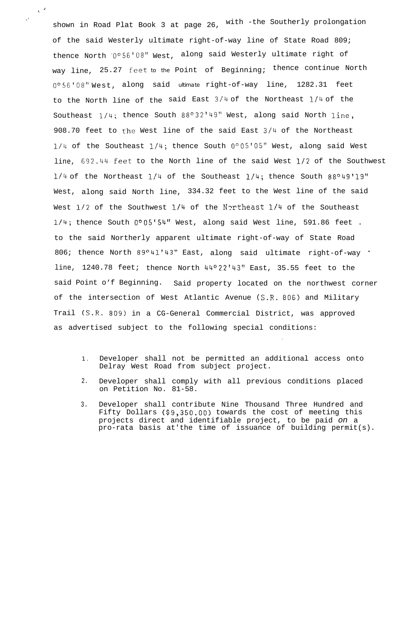shown in Road Plat Book 3 at page 26, with -the Southerly prolongation of the said Westerly ultimate right-of-way line of State Road 809; thence North ~O"56'08" West, along said Westerly ultimate right of way line, 25.27 feet to the Point of Beginning; thence continue North 0°56'08" West, along said ultimate right-of-way line, 1282.31 feet to the North line of the said East 3/4 of the Northeast l/4 of the Southeast  $1/4$ ; thence South  $88^{\circ}32'$ <sup>149</sup> West, along said North line, 908.70 feet to the West line of the said East  $3/4$  of the Northeast  $1/4$  of the Southeast  $1/4$ ; thence South  $0°05'05''$  West, along said West line, 692.44.feet to the North line of the said West l/2 of the Southwest  $1/4$  of the Northeast  $1/4$  of the Southeast  $1/4$ ; thence South  $88^o49'19''$ West, along said North line, 334.32 feet to the West line of the said West l/2 of the Southwest l/4 of the Northeast l/4 of the Southeast  $1/4$ ; thence South  $0°05'54''$  West, along said West line, 591.86 feet. to the said Northerly apparent ultimate right-of-way of State Road 806; thence North 89°41'43" East, along said ultimate right-of-way ' line, 1240.78 feet; thence North  $44^{\circ}22'43''$  East, 35.55 feet to the said Point o'f Beginning. Said property located on the northwest corner of the intersection of West Atlantic Avenue (S.R. 806) and Military Trail (S.R. 809) in a CG-General Commercial District, was approved as advertised subject to the following special conditions:

 $\sqrt{2}$ 

:

1 . Developer shall not be permitted an additional access onto Delray West Road from subject project.

.

- 2. Developer shall comply with all previous conditions placed on Petition No. 81-58.
- 3. Developer shall contribute Nine Thousand Three Hundred and Fifty Dollars (\$9,350.00) towards the cost of meeting this projects direct and identifiable project, to be paid *on* a pro-rata basis at'the time of issuance of building permit(s).